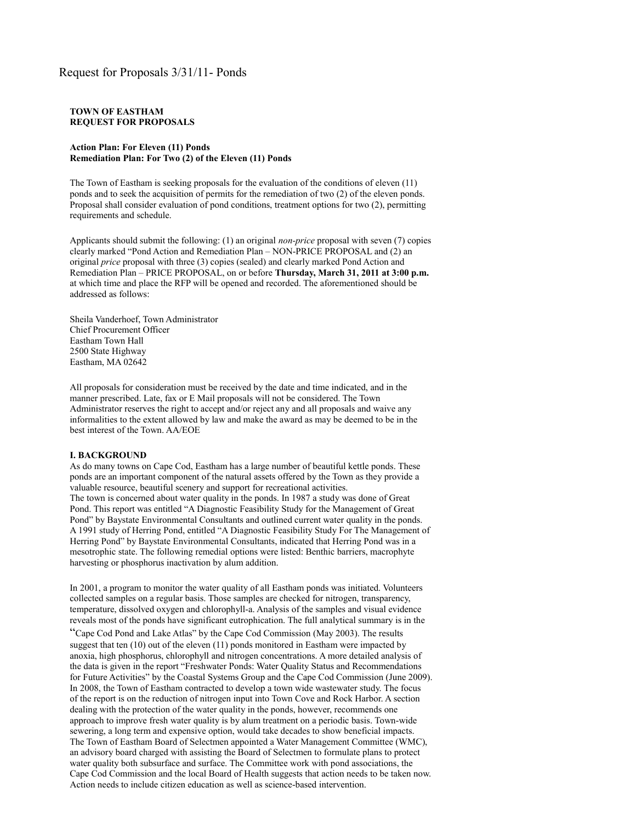#### **TOWN OF EASTHAM REQUEST FOR PROPOSALS**

#### **Action Plan: For Eleven (11) Ponds Remediation Plan: For Two (2) of the Eleven (11) Ponds**

The Town of Eastham is seeking proposals for the evaluation of the conditions of eleven (11) ponds and to seek the acquisition of permits for the remediation of two (2) of the eleven ponds. Proposal shall consider evaluation of pond conditions, treatment options for two (2), permitting requirements and schedule.

Applicants should submit the following: (1) an original *non-price* proposal with seven (7) copies clearly marked "Pond Action and Remediation Plan – NON-PRICE PROPOSAL and (2) an original *price* proposal with three (3) copies (sealed) and clearly marked Pond Action and Remediation Plan – PRICE PROPOSAL, on or before **Thursday, March 31, 2011 at 3:00 p.m.** at which time and place the RFP will be opened and recorded. The aforementioned should be addressed as follows:

Sheila Vanderhoef, Town Administrator Chief Procurement Officer Eastham Town Hall 2500 State Highway Eastham, MA 02642

All proposals for consideration must be received by the date and time indicated, and in the manner prescribed. Late, fax or E Mail proposals will not be considered. The Town Administrator reserves the right to accept and/or reject any and all proposals and waive any informalities to the extent allowed by law and make the award as may be deemed to be in the best interest of the Town. AA/EOE

#### **I. BACKGROUND**

As do many towns on Cape Cod, Eastham has a large number of beautiful kettle ponds. These ponds are an important component of the natural assets offered by the Town as they provide a valuable resource, beautiful scenery and support for recreational activities. The town is concerned about water quality in the ponds. In 1987 a study was done of Great Pond. This report was entitled "A Diagnostic Feasibility Study for the Management of Great Pond" by Baystate Environmental Consultants and outlined current water quality in the ponds. A 1991 study of Herring Pond, entitled "A Diagnostic Feasibility Study For The Management of Herring Pond" by Baystate Environmental Consultants, indicated that Herring Pond was in a mesotrophic state. The following remedial options were listed: Benthic barriers, macrophyte harvesting or phosphorus inactivation by alum addition.

In 2001, a program to monitor the water quality of all Eastham ponds was initiated. Volunteers collected samples on a regular basis. Those samples are checked for nitrogen, transparency, temperature, dissolved oxygen and chlorophyll-a. Analysis of the samples and visual evidence reveals most of the ponds have significant eutrophication. The full analytical summary is in the "Cape Cod Pond and Lake Atlas" by the Cape Cod Commission (May 2003). The results suggest that ten (10) out of the eleven (11) ponds monitored in Eastham were impacted by anoxia, high phosphorus, chlorophyll and nitrogen concentrations. A more detailed analysis of the data is given in the report "Freshwater Ponds: Water Quality Status and Recommendations for Future Activities" by the Coastal Systems Group and the Cape Cod Commission (June 2009). In 2008, the Town of Eastham contracted to develop a town wide wastewater study. The focus of the report is on the reduction of nitrogen input into Town Cove and Rock Harbor. A section dealing with the protection of the water quality in the ponds, however, recommends one approach to improve fresh water quality is by alum treatment on a periodic basis. Town-wide sewering, a long term and expensive option, would take decades to show beneficial impacts. The Town of Eastham Board of Selectmen appointed a Water Management Committee (WMC), an advisory board charged with assisting the Board of Selectmen to formulate plans to protect water quality both subsurface and surface. The Committee work with pond associations, the Cape Cod Commission and the local Board of Health suggests that action needs to be taken now. Action needs to include citizen education as well as science-based intervention.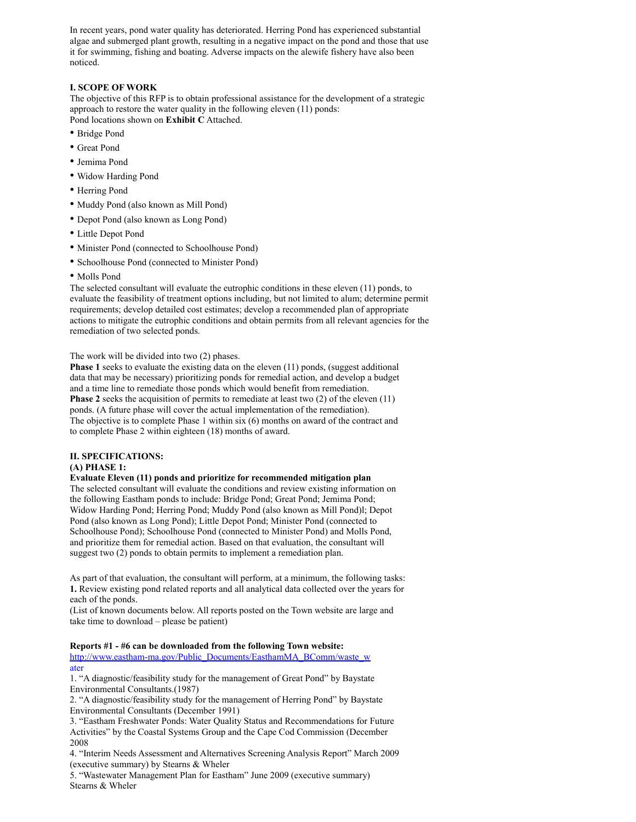In recent years, pond water quality has deteriorated. Herring Pond has experienced substantial algae and submerged plant growth, resulting in a negative impact on the pond and those that use it for swimming, fishing and boating. Adverse impacts on the alewife fishery have also been noticed.

# **I. SCOPE OF WORK**

The objective of this RFP is to obtain professional assistance for the development of a strategic approach to restore the water quality in the following eleven (11) ponds: Pond locations shown on **Exhibit C** Attached.

- Bridge Pond
- Great Pond
- Jemima Pond
- Widow Harding Pond
- Herring Pond
- Muddy Pond (also known as Mill Pond)
- Depot Pond (also known as Long Pond)
- Little Depot Pond
- Minister Pond (connected to Schoolhouse Pond)
- Schoolhouse Pond (connected to Minister Pond)
- Molls Pond

The selected consultant will evaluate the eutrophic conditions in these eleven (11) ponds, to evaluate the feasibility of treatment options including, but not limited to alum; determine permit requirements; develop detailed cost estimates; develop a recommended plan of appropriate actions to mitigate the eutrophic conditions and obtain permits from all relevant agencies for the remediation of two selected ponds.

#### The work will be divided into two (2) phases.

**Phase 1** seeks to evaluate the existing data on the eleven (11) ponds, (suggest additional data that may be necessary) prioritizing ponds for remedial action, and develop a budget and a time line to remediate those ponds which would benefit from remediation. **Phase 2** seeks the acquisition of permits to remediate at least two (2) of the eleven (11) ponds. (A future phase will cover the actual implementation of the remediation). The objective is to complete Phase 1 within six (6) months on award of the contract and to complete Phase 2 within eighteen (18) months of award.

# **II. SPECIFICATIONS:**

# **(A) PHASE 1:**

# **Evaluate Eleven (11) ponds and prioritize for recommended mitigation plan**

The selected consultant will evaluate the conditions and review existing information on the following Eastham ponds to include: Bridge Pond; Great Pond; Jemima Pond; Widow Harding Pond; Herring Pond; Muddy Pond (also known as Mill Pond)l; Depot Pond (also known as Long Pond); Little Depot Pond; Minister Pond (connected to Schoolhouse Pond); Schoolhouse Pond (connected to Minister Pond) and Molls Pond, and prioritize them for remedial action. Based on that evaluation, the consultant will suggest two (2) ponds to obtain permits to implement a remediation plan.

As part of that evaluation, the consultant will perform, at a minimum, the following tasks: **1.** Review existing pond related reports and all analytical data collected over the years for each of the ponds.

(List of known documents below. All reports posted on the Town website are large and take time to download – please be patient)

#### **Reports #1 - #6 can be downloaded from the following Town website:**

[http://www.eastham-ma.gov/Public\\_Documents/EasthamMA\\_BComm/waste\\_w](http://www.eastham-ma.gov/Public_Documents/EasthamMA_BComm/waste_w) ater

1. "A diagnostic/feasibility study for the management of Great Pond" by Baystate Environmental Consultants.(1987)

2. "A diagnostic/feasibility study for the management of Herring Pond" by Baystate Environmental Consultants (December 1991)

3. "Eastham Freshwater Ponds: Water Quality Status and Recommendations for Future Activities" by the Coastal Systems Group and the Cape Cod Commission (December 2008

4. "Interim Needs Assessment and Alternatives Screening Analysis Report" March 2009 (executive summary) by Stearns & Wheler

5. "Wastewater Management Plan for Eastham" June 2009 (executive summary) Stearns & Wheler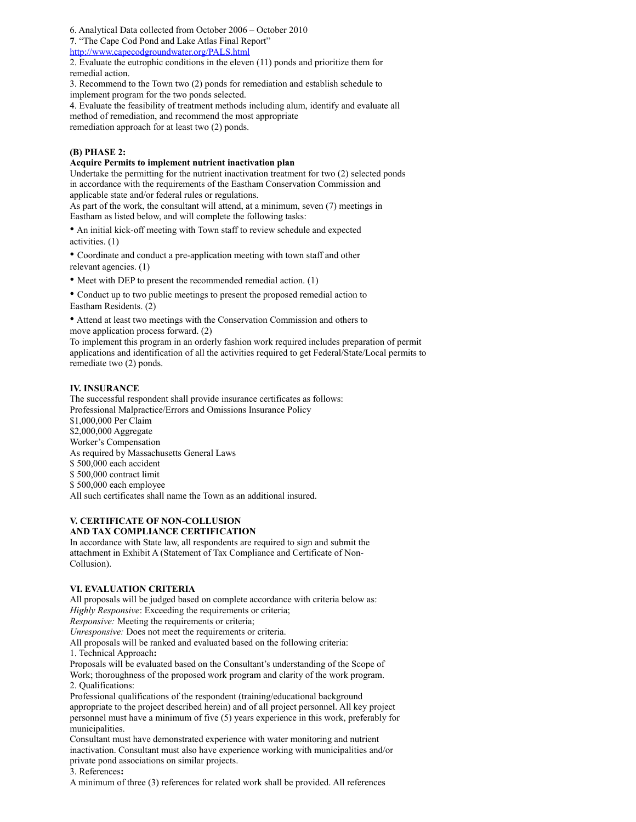6. Analytical Data collected from October 2006 – October 2010

**7**. "The Cape Cod Pond and Lake Atlas Final Report"

# <http://www.capecodgroundwater.org/PALS.html>

2. Evaluate the eutrophic conditions in the eleven (11) ponds and prioritize them for remedial action.

3. Recommend to the Town two (2) ponds for remediation and establish schedule to implement program for the two ponds selected.

4. Evaluate the feasibility of treatment methods including alum, identify and evaluate all method of remediation, and recommend the most appropriate remediation approach for at least two (2) ponds.

# **(B) PHASE 2:**

# **Acquire Permits to implement nutrient inactivation plan**

Undertake the permitting for the nutrient inactivation treatment for two (2) selected ponds in accordance with the requirements of the Eastham Conservation Commission and applicable state and/or federal rules or regulations.

As part of the work, the consultant will attend, at a minimum, seven (7) meetings in Eastham as listed below, and will complete the following tasks:

• An initial kick-off meeting with Town staff to review schedule and expected activities. (1)

• Coordinate and conduct a pre-application meeting with town staff and other relevant agencies. (1)

• Meet with DEP to present the recommended remedial action. (1)

• Conduct up to two public meetings to present the proposed remedial action to Eastham Residents. (2)

• Attend at least two meetings with the Conservation Commission and others to move application process forward. (2)

To implement this program in an orderly fashion work required includes preparation of permit applications and identification of all the activities required to get Federal/State/Local permits to remediate two (2) ponds.

# **IV. INSURANCE**

The successful respondent shall provide insurance certificates as follows: Professional Malpractice/Errors and Omissions Insurance Policy \$1,000,000 Per Claim \$2,000,000 Aggregate Worker's Compensation As required by Massachusetts General Laws \$ 500,000 each accident \$ 500,000 contract limit \$ 500,000 each employee All such certificates shall name the Town as an additional insured.

#### **V. CERTIFICATE OF NON-COLLUSION AND TAX COMPLIANCE CERTIFICATION**

In accordance with State law, all respondents are required to sign and submit the attachment in Exhibit A (Statement of Tax Compliance and Certificate of Non-Collusion).

# **VI. EVALUATION CRITERIA**

All proposals will be judged based on complete accordance with criteria below as: *Highly Responsive*: Exceeding the requirements or criteria;

*Responsive:* Meeting the requirements or criteria;

*Unresponsive:* Does not meet the requirements or criteria.

All proposals will be ranked and evaluated based on the following criteria:

1. Technical Approach**:**

Proposals will be evaluated based on the Consultant's understanding of the Scope of Work; thoroughness of the proposed work program and clarity of the work program. 2. Qualifications:

Professional qualifications of the respondent (training/educational background appropriate to the project described herein) and of all project personnel. All key project personnel must have a minimum of five (5) years experience in this work, preferably for municipalities.

Consultant must have demonstrated experience with water monitoring and nutrient inactivation. Consultant must also have experience working with municipalities and/or private pond associations on similar projects.

3. References**:**

A minimum of three (3) references for related work shall be provided. All references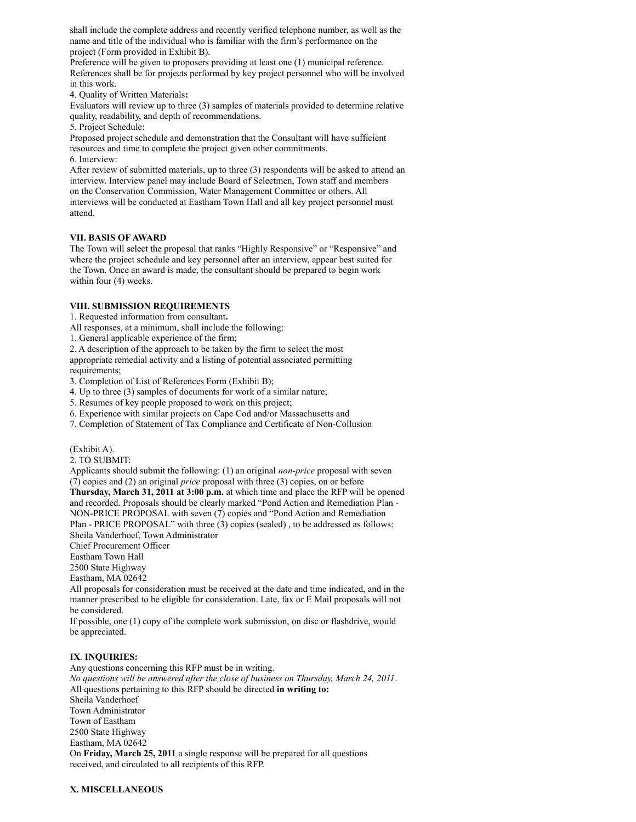shall include the complete address and recently verified telephone number, as well as the name and title of the individual who is familiar with the firm's performance on the project (Form provided in Exhibit B).

Preference will be given to proposers providing at least one (1) municipal reference. References shall be for projects performed by key project personnel who will be involved in this work.

4. Quality of Written Materials**:**

Evaluators will review up to three (3) samples of materials provided to determine relative quality, readability, and depth of recommendations.

5. Project Schedule:

Proposed project schedule and demonstration that the Consultant will have sufficient resources and time to complete the project given other commitments. 6. Interview:

After review of submitted materials, up to three (3) respondents will be asked to attend an interview. Interview panel may include Board of Selectmen, Town staff and members on the Conservation Commission, Water Management Committee or others. All interviews will be conducted at Eastham Town Hall and all key project personnel must attend.

#### **VII. BASIS OF AWARD**

The Town will select the proposal that ranks "Highly Responsive" or "Responsive" and where the project schedule and key personnel after an interview, appear best suited for the Town. Once an award is made, the consultant should be prepared to begin work within four (4) weeks.

#### **VIII. SUBMISSION REQUIREMENTS**

1. Requested information from consultant**.**

All responses, at a minimum, shall include the following:

1. General applicable experience of the firm;

2. A description of the approach to be taken by the firm to select the most appropriate remedial activity and a listing of potential associated permitting requirements:

3. Completion of List of References Form (Exhibit B);

4. Up to three (3) samples of documents for work of a similar nature;

5. Resumes of key people proposed to work on this project;

6. Experience with similar projects on Cape Cod and/or Massachusetts and

7. Completion of Statement of Tax Compliance and Certificate of Non-Collusion

(Exhibit A).

2. TO SUBMIT:

Applicants should submit the following: (1) an original *non-price* proposal with seven (7) copies and (2) an original *price* proposal with three (3) copies, on or before **Thursday, March 31, 2011 at 3:00 p.m.** at which time and place the RFP will be opened and recorded. Proposals should be clearly marked "Pond Action and Remediation Plan - NON-PRICE PROPOSAL with seven (7) copies and "Pond Action and Remediation Plan - PRICE PROPOSAL" with three (3) copies (sealed) , to be addressed as follows: Sheila Vanderhoef, Town Administrator Chief Procurement Officer

Eastham Town Hall

2500 State Highway

Eastham, MA 02642

All proposals for consideration must be received at the date and time indicated, and in the manner prescribed to be eligible for consideration. Late, fax or E Mail proposals will not be considered.

If possible, one (1) copy of the complete work submission, on disc or flashdrive, would be appreciated.

# **IX**. **INQUIRIES:**

Any questions concerning this RFP must be in writing. *No questions will be answered after the close of business on Thursday, March 24, 2011*. All questions pertaining to this RFP should be directed **in writing to:** Sheila Vanderhoef Town Administrator Town of Eastham 2500 State Highway Eastham, MA 02642 On **Friday, March 25, 2011** a single response will be prepared for all questions received, and circulated to all recipients of this RFP.